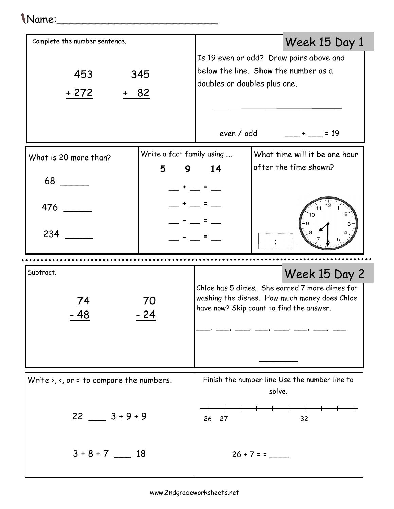## Name:\_\_\_\_\_\_\_\_\_\_\_\_\_\_\_\_\_\_\_\_\_\_\_\_\_

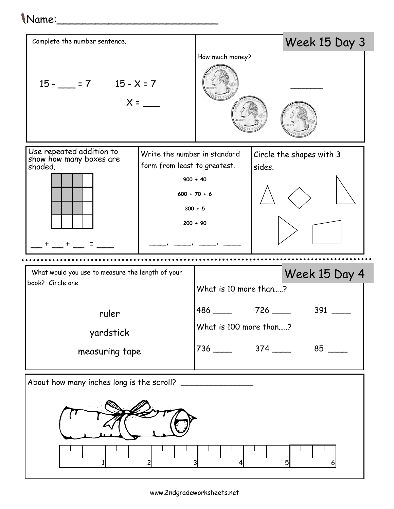## Name:\_\_\_\_\_\_\_\_\_\_\_\_\_\_\_\_\_\_\_\_\_\_\_\_\_